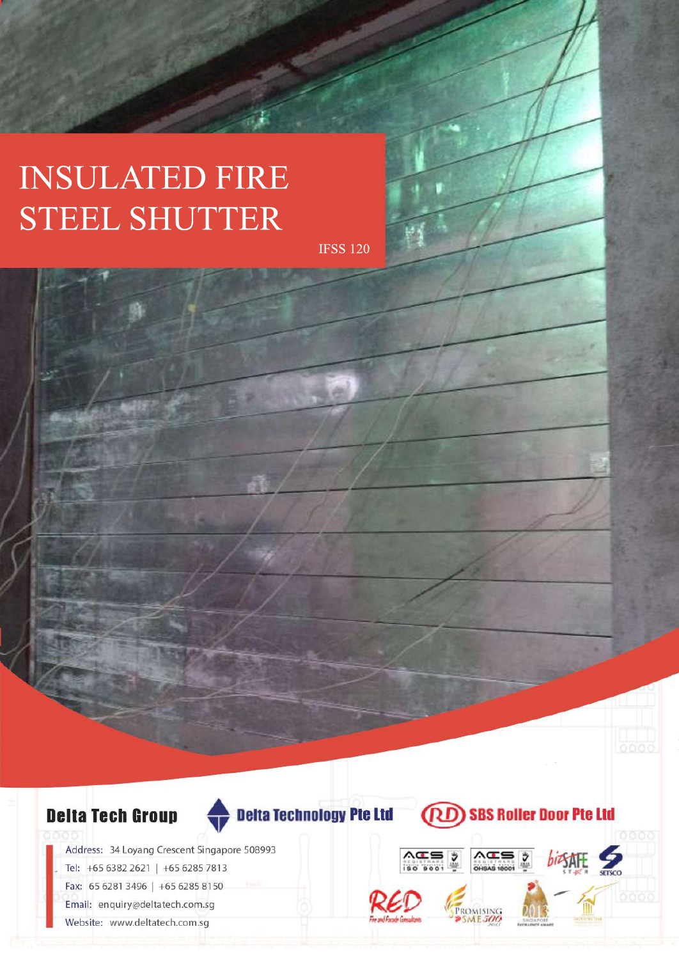# **INSULATED FIRE** STEELSHUTTER

IFSS120



Address: 34 Loyang Crescent Singapore 508993 Tel: +65 6382 2621 | +65 6285 7813 Fax: 65 6281 3496 | +65 6285 8150 Email: enquiry@deltatech.com.sg Website: www.deltatech.com.sg

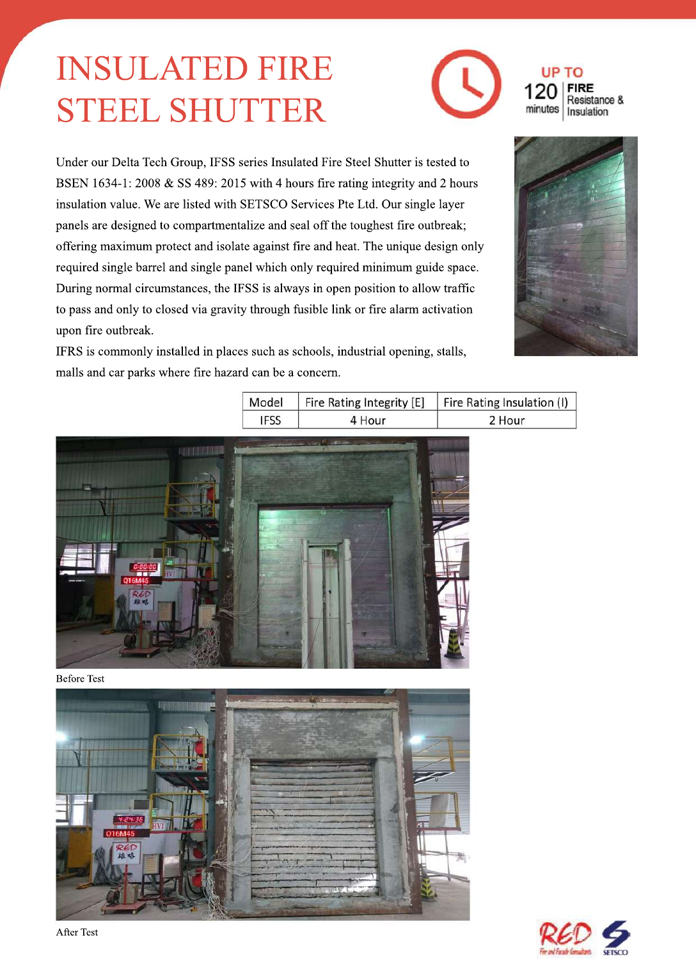# **INSULATED FIRE** STEELSHUTTER



Under our Delta Tech Group, IFSS series Insulated Fire Steel Shutter is tested to BSEN 1634-1:2008 & SS 489:2015 with 4 hours fire rating integrity and 2 hours insulation value. We are listed with SETSCO Services Pte Ltd. Our single layer panels are designed to compartmentalize and seal off the toughest fire outbreak; offering maximum protect and isolate against fire and heat. The unique design only required single barrel and single panel which only required minimum guide space. During normal circumstances, the IFSS is always in open position to allow traffic to pass and only to closed via gravity through fusible link or fire alarm activation upon fire outbreak.

IFRS is commonly installed in places such as schools, industrial opening, stalls, malls and car parks where fire hazard can be a concern.



| Model | Fire Rating Integrity [E] | Fire Rating Insulation (I) |  |  |  |
|-------|---------------------------|----------------------------|--|--|--|
| IFSS  | 4 Hour                    | 2 Hour                     |  |  |  |



**Before Test** 



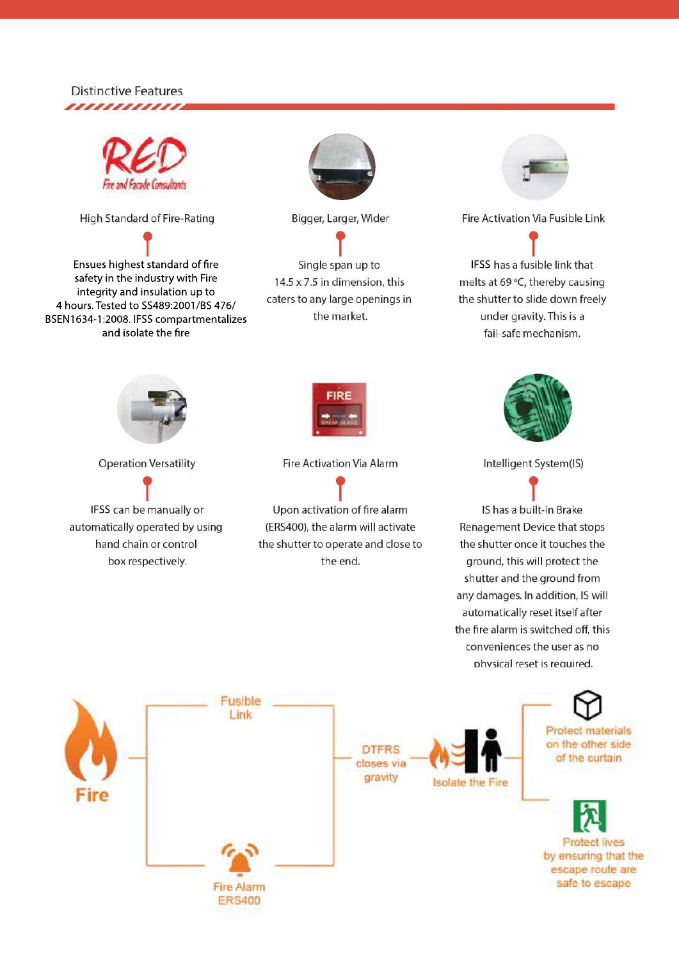### **Distinctive Features** ,,,,,,,,,,,,,



High Standard of Fire-Rating

Ensues highest standard of fire safety in the industry with Fire integrity and insulation up to 4 hours. Tested to SS489:2001/BS 476/ BSEN1634-1:2008. IFSS compartmentalizes and isolate the fire



Bigger, Larger, Wider

Single span up to 14.5 x 7.5 in dimension, this caters to any large openings in the market.



Fire Activation Via Fusible Link

IFSS has a fusible link that melts at 69 °C, thereby causing the shutter to slide down freely under gravity. This is a fail-safe mechanism.



**Operation Versatility** 

IFSS can be manually or automatically operated by using hand chain or control box respectively.



**Fire Activation Via Alarm** 

Upon activation of fire alarm (ERS400), the alarm will activate the shutter to operate and close to the end.



Intelligent System(IS)

IS has a built-in Brake Renagement Device that stops the shutter once it touches the ground, this will protect the shutter and the ground from any damages. In addition, IS will automatically reset itself after the fire alarm is switched off, this conveniences the user as no physical reset is required.

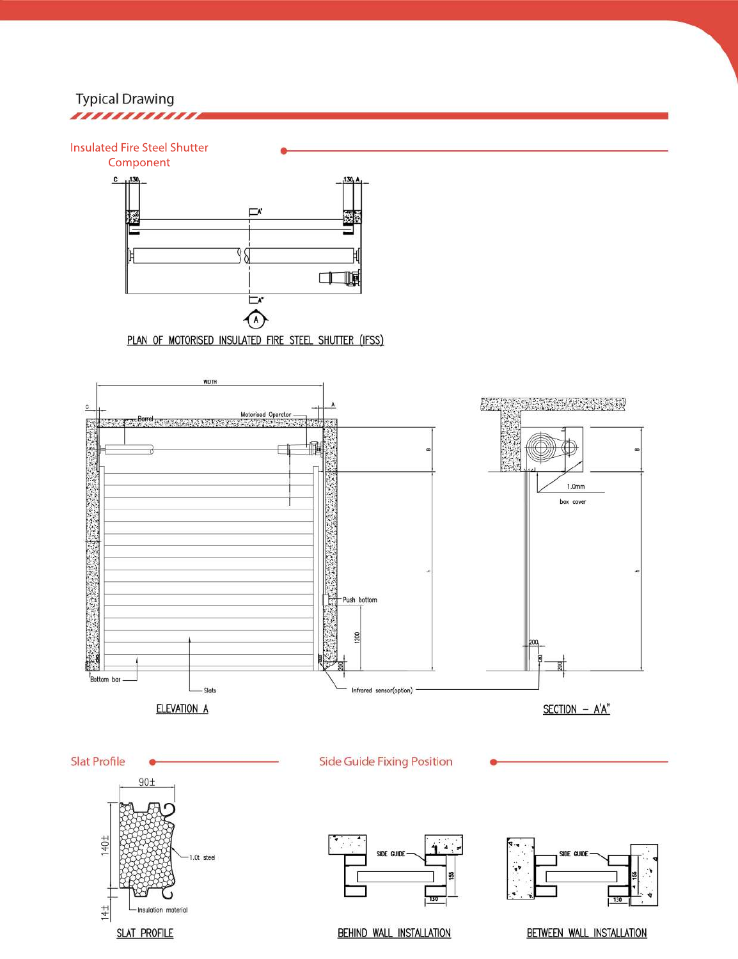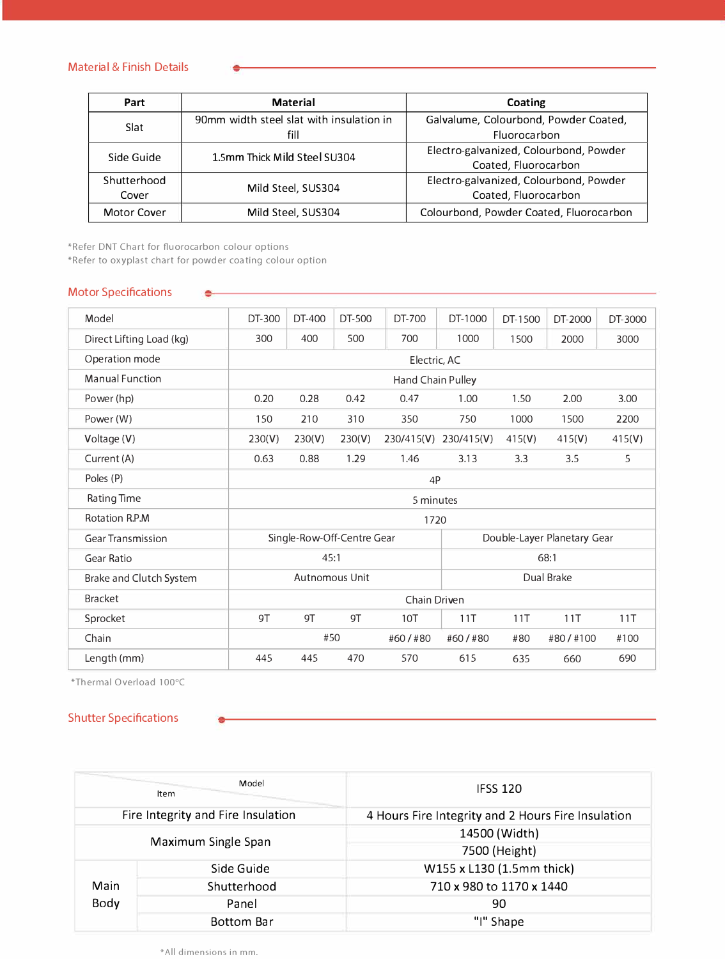#### Material & Finish Details

| Part        | <b>Material</b>                                  | Coating                                               |  |  |  |
|-------------|--------------------------------------------------|-------------------------------------------------------|--|--|--|
| Slat        | 90mm width steel slat with insulation in<br>fill | Galvalume, Colourbond, Powder Coated,<br>Fluorocarbon |  |  |  |
| Side Guide  |                                                  | Electro-galvanized, Colourbond, Powder                |  |  |  |
|             | 1.5mm Thick Mild Steel SU304                     | Coated, Fluorocarbon                                  |  |  |  |
| Shutterhood | Mild Steel, SUS304                               | Electro-galvanized, Colourbond, Powder                |  |  |  |
| Cover       |                                                  | Coated, Fluorocarbon                                  |  |  |  |
| Motor Cover | Mild Steel, SUS304                               | Colourbond, Powder Coated, Fluorocarbon               |  |  |  |

\*Refer DNT Chart for fluorocarbon colour options

\*Refer to oxyplast chart for powder coating colour option

۰

### Motor Specifications

| Model                    | DT-300                     | DT-400 | DT-500 | DT-700                      | DT-1000    | DT-1500  | DT-2000 | DT-3000 |
|--------------------------|----------------------------|--------|--------|-----------------------------|------------|----------|---------|---------|
| Direct Lifting Load (kg) | 300                        | 400    | 500    | 700                         | 1000       | 1500     | 2000    | 3000    |
| Operation mode           | Electric, AC               |        |        |                             |            |          |         |         |
| <b>Manual Function</b>   | Hand Chain Pulley          |        |        |                             |            |          |         |         |
| Power (hp)               | 0.20                       | 0.28   | 0.42   | 0.47                        | 1.00       | 1.50     | 2.00    | 3.00    |
| Power (W)                | 150                        | 210    | 310    | 350                         | 750        | 1000     | 1500    | 2200    |
| Voltage (V)              | 230(V)                     | 230(V) | 230(V) | 230/415(V)                  | 230/415(V) | 415(V)   | 415(V)  | 415(V)  |
| Current (A)              | 0.63                       | 0.88   | 1.29   | 1.46                        | 3.13       | 3.3      | 3.5     | 5       |
| Poles (P)                | 4P                         |        |        |                             |            |          |         |         |
| Rating Time              | 5 minutes                  |        |        |                             |            |          |         |         |
| Rotation R.P.M           | 1720                       |        |        |                             |            |          |         |         |
| <b>Gear Transmission</b> | Single-Row-Off-Centre Gear |        |        | Double-Layer Planetary Gear |            |          |         |         |
| <b>Gear Ratio</b>        | 45:1                       |        |        | 68:1                        |            |          |         |         |
| Brake and Clutch System  | Autnomous Unit             |        |        | Dual Brake                  |            |          |         |         |
| <b>Bracket</b>           | Chain Driven               |        |        |                             |            |          |         |         |
| Sprocket                 | 9T                         | 9T     | 9T     | 10T                         | 11T        | 11T      | 11T     | 11T     |
| Chain                    | #50<br>#60/#80             |        |        | #60/#80                     | #80        | #80/#100 | #100    |         |
| Length (mm)              | 445                        | 445    | 470    | 570                         | 615        | 635      | 660     | 690     |

\*Thermal Overload 100°C

## Shutter Specifications

|                                    | Model<br><b>Item</b> | <b>IFSS 120</b>                                    |  |  |  |
|------------------------------------|----------------------|----------------------------------------------------|--|--|--|
| Fire Integrity and Fire Insulation |                      | 4 Hours Fire Integrity and 2 Hours Fire Insulation |  |  |  |
| Maximum Single Span                |                      | 14500 (Width)                                      |  |  |  |
|                                    |                      | 7500 (Height)                                      |  |  |  |
|                                    | Side Guide           | W155 x L130 (1.5mm thick)                          |  |  |  |
| Main                               | Shutterhood          | 710 x 980 to 1170 x 1440                           |  |  |  |
| Body                               | Panel                | 90                                                 |  |  |  |
|                                    | Bottom Bar           | "I" Shape                                          |  |  |  |